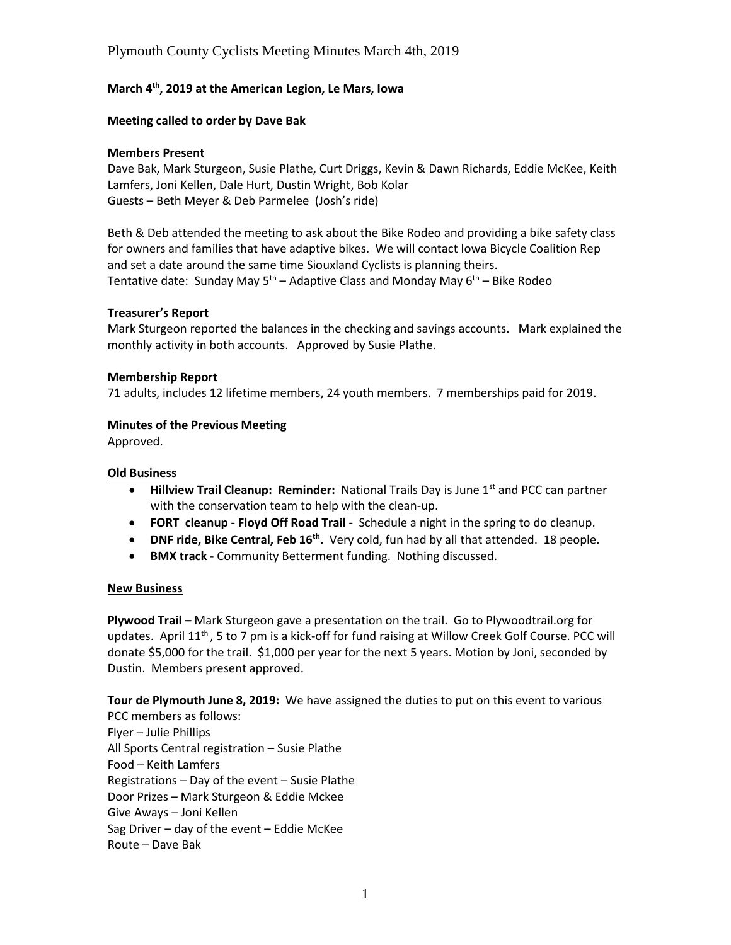## Plymouth County Cyclists Meeting Minutes March 4th, 2019

## **March 4th, 2019 at the American Legion, Le Mars, Iowa**

## **Meeting called to order by Dave Bak**

## **Members Present**

Dave Bak, Mark Sturgeon, Susie Plathe, Curt Driggs, Kevin & Dawn Richards, Eddie McKee, Keith Lamfers, Joni Kellen, Dale Hurt, Dustin Wright, Bob Kolar Guests – Beth Meyer & Deb Parmelee (Josh's ride)

Beth & Deb attended the meeting to ask about the Bike Rodeo and providing a bike safety class for owners and families that have adaptive bikes. We will contact Iowa Bicycle Coalition Rep and set a date around the same time Siouxland Cyclists is planning theirs. Tentative date: Sunday May  $5<sup>th</sup>$  – Adaptive Class and Monday May  $6<sup>th</sup>$  – Bike Rodeo

## **Treasurer's Report**

Mark Sturgeon reported the balances in the checking and savings accounts. Mark explained the monthly activity in both accounts. Approved by Susie Plathe.

#### **Membership Report**

71 adults, includes 12 lifetime members, 24 youth members. 7 memberships paid for 2019.

#### **Minutes of the Previous Meeting**

Approved.

#### **Old Business**

- **Hillview Trail Cleanup: Reminder:** National Trails Day is June 1<sup>st</sup> and PCC can partner with the conservation team to help with the clean-up.
- **FORT cleanup - Floyd Off Road Trail -** Schedule a night in the spring to do cleanup.
- **DNF ride, Bike Central, Feb 16th .** Very cold, fun had by all that attended. 18 people.
- **BMX track** Community Betterment funding. Nothing discussed.

## **New Business**

**Plywood Trail –** Mark Sturgeon gave a presentation on the trail. Go to Plywoodtrail.org for updates. April 11<sup>th</sup>, 5 to 7 pm is a kick-off for fund raising at Willow Creek Golf Course. PCC will donate \$5,000 for the trail. \$1,000 per year for the next 5 years. Motion by Joni, seconded by Dustin. Members present approved.

**Tour de Plymouth June 8, 2019:** We have assigned the duties to put on this event to various PCC members as follows: Flyer – Julie Phillips All Sports Central registration – Susie Plathe Food – Keith Lamfers Registrations – Day of the event – Susie Plathe Door Prizes – Mark Sturgeon & Eddie Mckee Give Aways – Joni Kellen Sag Driver – day of the event – Eddie McKee Route – Dave Bak